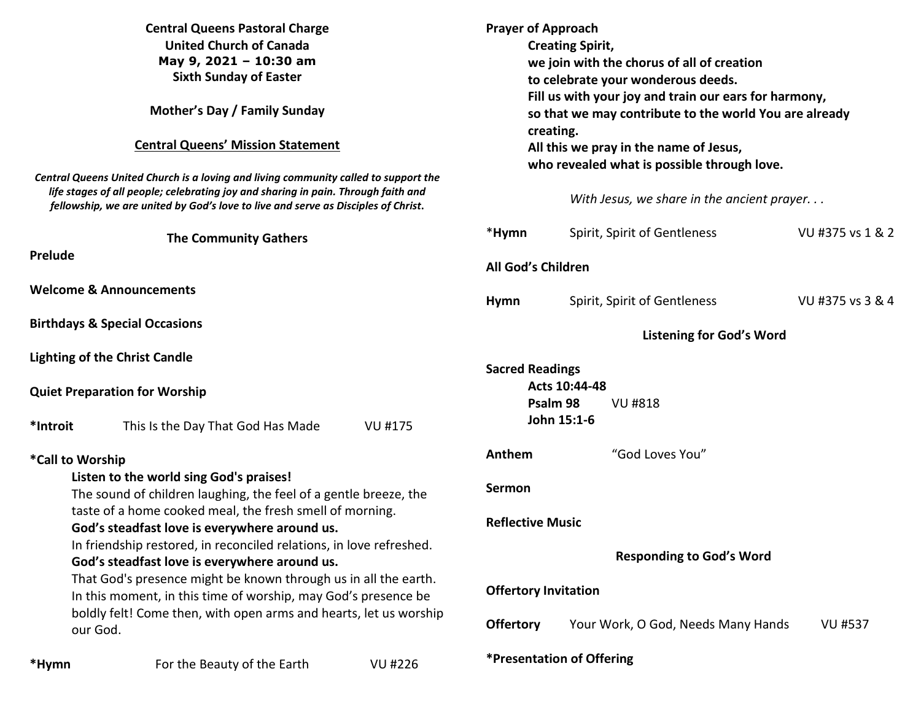| <b>Central Queens Pastoral Charge</b><br><b>United Church of Canada</b><br>May 9, 2021 - 10:30 am<br><b>Sixth Sunday of Easter</b><br>Mother's Day / Family Sunday<br><b>Central Queens' Mission Statement</b><br>Central Queens United Church is a loving and living community called to support the<br>life stages of all people; celebrating joy and sharing in pain. Through faith and |                                                                                                                      | <b>Prayer of Approach</b><br><b>Creating Spirit,</b><br>we join with the chorus of all of creation<br>to celebrate your wonderous deeds.<br>Fill us with your joy and train our ears for harmony,<br>so that we may contribute to the world You are already<br>creating.<br>All this we pray in the name of Jesus,<br>who revealed what is possible through love.<br>With Jesus, we share in the ancient prayer |                                    |                                           |                  |
|--------------------------------------------------------------------------------------------------------------------------------------------------------------------------------------------------------------------------------------------------------------------------------------------------------------------------------------------------------------------------------------------|----------------------------------------------------------------------------------------------------------------------|-----------------------------------------------------------------------------------------------------------------------------------------------------------------------------------------------------------------------------------------------------------------------------------------------------------------------------------------------------------------------------------------------------------------|------------------------------------|-------------------------------------------|------------------|
|                                                                                                                                                                                                                                                                                                                                                                                            | fellowship, we are united by God's love to live and serve as Disciples of Christ.                                    |                                                                                                                                                                                                                                                                                                                                                                                                                 |                                    |                                           |                  |
|                                                                                                                                                                                                                                                                                                                                                                                            | <b>The Community Gathers</b>                                                                                         |                                                                                                                                                                                                                                                                                                                                                                                                                 | *Hymn                              | Spirit, Spirit of Gentleness              | VU #375 vs 1 & 2 |
| <b>Prelude</b>                                                                                                                                                                                                                                                                                                                                                                             |                                                                                                                      | All God's Children                                                                                                                                                                                                                                                                                                                                                                                              |                                    |                                           |                  |
| <b>Welcome &amp; Announcements</b>                                                                                                                                                                                                                                                                                                                                                         |                                                                                                                      |                                                                                                                                                                                                                                                                                                                                                                                                                 |                                    |                                           |                  |
|                                                                                                                                                                                                                                                                                                                                                                                            | <b>Birthdays &amp; Special Occasions</b>                                                                             |                                                                                                                                                                                                                                                                                                                                                                                                                 | <b>Hymn</b>                        | Spirit, Spirit of Gentleness              | VU #375 vs 3 & 4 |
|                                                                                                                                                                                                                                                                                                                                                                                            |                                                                                                                      |                                                                                                                                                                                                                                                                                                                                                                                                                 |                                    | <b>Listening for God's Word</b>           |                  |
| <b>Lighting of the Christ Candle</b>                                                                                                                                                                                                                                                                                                                                                       |                                                                                                                      |                                                                                                                                                                                                                                                                                                                                                                                                                 | <b>Sacred Readings</b>             |                                           |                  |
| <b>Quiet Preparation for Worship</b>                                                                                                                                                                                                                                                                                                                                                       |                                                                                                                      |                                                                                                                                                                                                                                                                                                                                                                                                                 |                                    | Acts 10:44-48                             |                  |
| *Introit                                                                                                                                                                                                                                                                                                                                                                                   | This Is the Day That God Has Made                                                                                    | <b>VU #175</b>                                                                                                                                                                                                                                                                                                                                                                                                  |                                    | Psalm 98<br><b>VU #818</b><br>John 15:1-6 |                  |
| *Call to Worship                                                                                                                                                                                                                                                                                                                                                                           |                                                                                                                      |                                                                                                                                                                                                                                                                                                                                                                                                                 | Anthem                             | "God Loves You"                           |                  |
| Listen to the world sing God's praises!<br>The sound of children laughing, the feel of a gentle breeze, the<br>taste of a home cooked meal, the fresh smell of morning.<br>God's steadfast love is everywhere around us.                                                                                                                                                                   |                                                                                                                      |                                                                                                                                                                                                                                                                                                                                                                                                                 | Sermon                             |                                           |                  |
|                                                                                                                                                                                                                                                                                                                                                                                            |                                                                                                                      |                                                                                                                                                                                                                                                                                                                                                                                                                 | <b>Reflective Music</b>            |                                           |                  |
|                                                                                                                                                                                                                                                                                                                                                                                            | In friendship restored, in reconciled relations, in love refreshed.<br>God's steadfast love is everywhere around us. |                                                                                                                                                                                                                                                                                                                                                                                                                 |                                    | <b>Responding to God's Word</b>           |                  |
| That God's presence might be known through us in all the earth.<br>In this moment, in this time of worship, may God's presence be                                                                                                                                                                                                                                                          |                                                                                                                      |                                                                                                                                                                                                                                                                                                                                                                                                                 | <b>Offertory Invitation</b>        |                                           |                  |
| boldly felt! Come then, with open arms and hearts, let us worship<br>our God.                                                                                                                                                                                                                                                                                                              |                                                                                                                      | <b>Offertory</b>                                                                                                                                                                                                                                                                                                                                                                                                | Your Work, O God, Needs Many Hands | <b>VU #537</b>                            |                  |
| *Hymn                                                                                                                                                                                                                                                                                                                                                                                      | For the Beauty of the Earth                                                                                          | <b>VU #226</b>                                                                                                                                                                                                                                                                                                                                                                                                  |                                    | *Presentation of Offering                 |                  |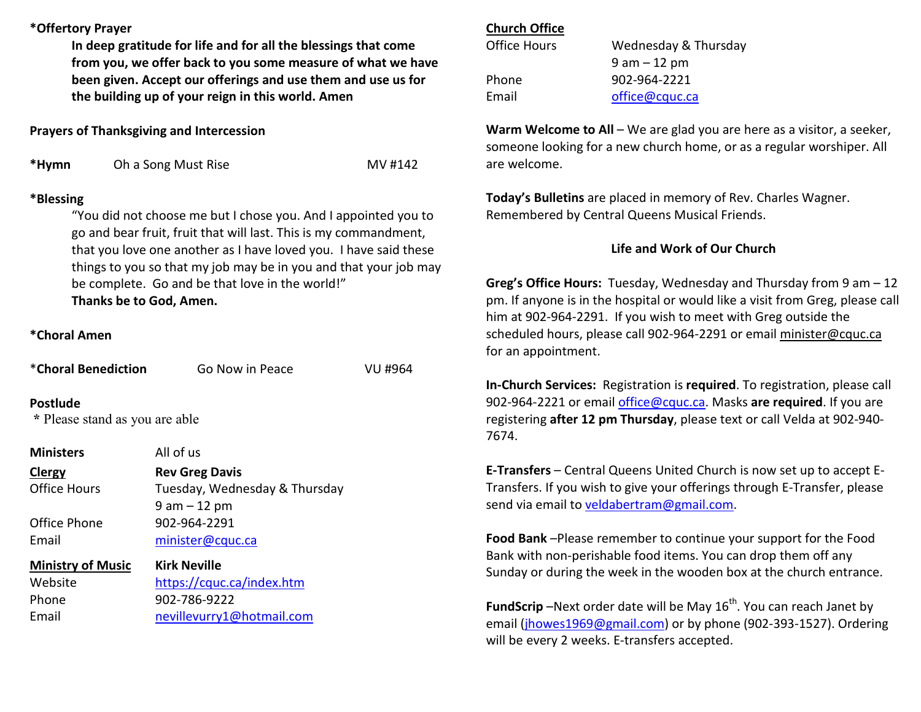### **\*Offertory Prayer**

**In deep gratitude for life and for all the blessings that come from you, we offer back to you some measure of what we have been given. Accept our offerings and use them and use us for the building up of your reign in this world. Amen**

## **Prayers of Thanksgiving and Intercession**

\*Hymn Oh a Song Must Rise MV #142

### **\*Blessing**

 "You did not choose me but I chose you. And I appointed you to go and bear fruit, fruit that will last. This is my commandment, that you love one another as I have loved you. I have said these things to you so that my job may be in you and that your job may be complete. Go and be that love in the world!" **Thanks be to God, Amen.**

# **\*Choral Amen**

| *Choral Benediction                        | Go Now in Peace               | VU #964 |  |  |  |
|--------------------------------------------|-------------------------------|---------|--|--|--|
| Postlude<br>* Please stand as you are able |                               |         |  |  |  |
| <b>Ministers</b>                           | All of us                     |         |  |  |  |
|                                            |                               |         |  |  |  |
| Clergy                                     | <b>Rev Greg Davis</b>         |         |  |  |  |
| <b>Office Hours</b>                        | Tuesday, Wednesday & Thursday |         |  |  |  |
|                                            | $9$ am $-12$ pm               |         |  |  |  |
| Office Phone                               | 902-964-2291                  |         |  |  |  |
| Email                                      | minister@cquc.ca              |         |  |  |  |
| <b>Ministry of Music</b>                   | <b>Kirk Neville</b>           |         |  |  |  |
| Website                                    | https://cquc.ca/index.htm     |         |  |  |  |
| Phone                                      | 902-786-9222                  |         |  |  |  |
| Email                                      | nevillevurry1@hotmail.com     |         |  |  |  |
|                                            |                               |         |  |  |  |

### **Church Office**

| Office Hours | Wednesday & Thursday |
|--------------|----------------------|
|              | $9$ am $-12$ pm      |
| Phone        | 902-964-2221         |
| Email        | office@cquc.ca       |
|              |                      |

**Warm Welcome to All** – We are glad you are here as a visitor, a seeker,someone looking for a new church home, or as a regular worshiper. All are welcome.

**Today's Bulletins** are placed in memory of Rev. Charles Wagner. Remembered by Central Queens Musical Friends.

# **Life and Work of Our Church**

**Greg's Office Hours:** Tuesday, Wednesday and Thursday from 9 am – 12 pm. If anyone is in the hospital or would like a visit from Greg, please call him at 902-964-2291. If you wish to meet with Greg outside the scheduled hours, please call 902-964-2291 or email minister@cquc.ca for an appointment.

**In-Church Services:** Registration is **required**. To registration, please call 902-964-2221 or email office@cquc.ca. Masks **are required**. If you are registering **after 12 pm Thursday**, please text or call Velda at 902-940- 7674.

**E-Transfers** – Central Queens United Church is now set up to accept E-Transfers. If you wish to give your offerings through E-Transfer, please send via email to veldabertram@gmail.com.

**Food Bank** –Please remember to continue your support for the Food Bank with non-perishable food items. You can drop them off any Sunday or during the week in the wooden box at the church entrance.

**FundScrip** –Next order date will be May 16<sup>th</sup>. You can reach Janet by email (jhowes1969@gmail.com) or by phone (902-393-1527). Ordering will be every 2 weeks. E-transfers accepted.